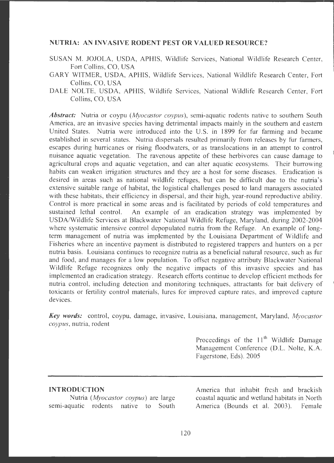### **NUTRIA: AN INVASIVE RODENT PEST OR VALUED RESOURCE?**

- SUSAN M. JOJOLA, USDA, APHIS, Wildlife Services, National Wildlife Research Center, Fort Collins, CO, USA
- GARY WITMER, USDA, APHIS, Wildlife Services, National Wildlife Research Center, Fort Collins, CO, USA
- DALE NOLTE, USDA, APHIS, Wildlife Services, National Wildlife Research Center, Fort Collins, CO, USA

*Abstract:* Nutria or coypu *(Myocastor coypus) ,* semi-aquatic rodents native to southern South America, are an invasive species having detrimental impacts mainly in the southern and eastern United States. Nutria were introduced into the U.S. in 1899 for fur farming and became established in several states. Nutria dispersals resulted primarily from releases by fur farmers, escapes during hurricanes or rising floodwaters, or as translocations in an attempt to control nuisance aquatic vegetation. The ravenous appetite of these herbivores can cause damage to agricultural crops and aquatic vegetation, and can alter aquatic ecosystems. Their burrowing habits can weaken irrigation structures and they are a host for some diseases. Eradication is desired in areas such as national wildlife refuges, but can be difficult due to the nutria's extensive suitable range of habitat, the logistical challenges posed to land managers associated with these habitats, their efficiency in dispersal, and their high, year-round reproductive ability. Control is more practical in some areas and is facilitated by periods of cold temperatures and sustained lethal control. An example of an eradication strategy was implemented by USDA/Wildlife Services at Blackwater National Wildlife Refuge, Maryland, during 2002-2004 where systematic intensive control depopulated nutria from the Refuge. An example of longterm management of nutria was implemented by the Louisiana Department of Wildlife and Fisheries where an incentive payment is distributed to registered trappers and hunters on a per nutria basis. Louisiana continues to recognize nutria as a beneficial natural resource , such as fur and food, and manages for a low population. To offset negative attributy Blackwater National Wildlife Refuge recognizes only the negative impacts of this invasive species and has implemented an eradication strategy. Research efforts continue to develop efficient methods for nutria control, including detection and monitoring techniques, attractants for bait delivery of toxicants or fertility control materials, lures for improved capture rates, and improved capture devices.

**Key words:** control, coypu, damage, invasive, Louisiana, management, Maryland, *Myocastor coypus,* nutria, rodent

> Proceedings of the  $11<sup>th</sup>$  Wildlife Damage Management Conference (D.L. Nolte, K.A. Fagerstone, Eds). 2005

#### **INTRODUCTION**

Nutria *(Myocastor coypus)* are large semi-aquatic rodents native to South America that inhabit fresh and brackish coastal aquatic and wetland habitats in North America (Bounds et al. 2003). Female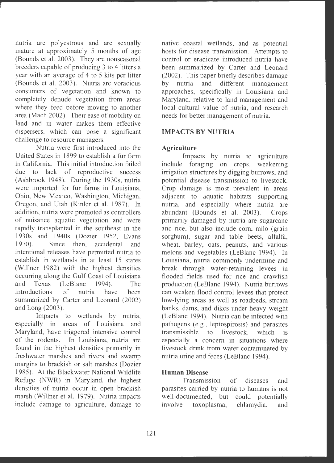nutria are polyestrous and are sexually mature at approximately 5 months of age (Bounds et al. 2003). They are nonseasonal breeders capable of producing 3 to 4 litters a year with an average of 4 to 5 kits per litter (Bounds et al. 2003). Nutria are voracious consumers of vegetation and known to completely denude vegetation from areas where they feed before moving to another area (Mach 2002). Their ease of mobility on land and in water makes them effective dispersers, which can pose a significant challenge to resource managers.

Nutria were first introduced into the United States in 1899 to establish a fur farm in California. This initial introduction failed due to lack of reproductive success (Ashbrook 1948). During the 1930s, nutria were imported for fur farms in Louisiana, Ohio, New Mexico, Washington, Michigan, Oregon, and Utah (Kinler et al. 1987). In addition, nutria were promoted as controllers of nuisance aquatic vegetation and were rapidly transplanted in the southeast in the I 930s and 1940s (Dozier 1952, Evans 1970). Since then accidental and intentional releases have permitted nutria to establish in wetlands in at least 15 states (Willner 1982) with the highest densities occurring along the Gulf Coast of Louisiana and Texas (LeBlanc 1994). The introductions of nutria have been summarized by Carter and Leonard (2002) and Long (2003).

Impacts to wetlands by nutria, especially in areas of Louisiana and Maryland, have triggered intensive control of the rodents. In Louisiana, nutria are found in the highest densities primarily in freshwater marshes and rivers and swamp margins to brackish or salt marshes (Dozier 1985). At the Blackwater National Wildlife Refuge (NWR) in Maryland, the highest densities of nutria occur in open brackish marsh (Willner et al. 1979). Nutria impacts include damage to agriculture, damage to native coastal wetlands, and as potential hosts for disease transmission. Attempts to control or eradicate introduced nutria have been summarized by Carter and Leonard (2002). This paper briefly describes damage<br>by nutria and different management different management approaches, specifically in Louisiana and Maryland , relative to land management and local cultural value of nutria, and research needs for better management of nutria .

# **IMPACTS BY NUTRIA**

# **Agriculture**

Impacts by nutria to agriculture include foraging on crops, weakening irrigation structures by digging burrows, and potential disease transmission to livestock. Crop damage is most prevalent in areas adjacent to aquatic habitats supporting nutria, and especially where nutria are abundant (Bounds et al. 2003). Crops primarily damaged by nutria are sugarcane and rice, but also include corn, milo (grain sorghum), sugar and table beets, alfalfa, wheat, barley, oats, peanuts, and various melons and vegetables (LeBlanc 1994). In Louisiana, nutria commonly undermine and break through water-retaining levees in flooded fields used for rice and crawfish production (LeBlanc 1994). Nutria burrows can weaken flood control levees that protect low-lying areas as well as roadbeds, stream banks, dams, and dikes under heavy weight (LeBlanc 1994). Nutria can be infected with pathogens (e.g., leptospirosis) and parasites transmissible to livestock, which is especially a concern in situations where livestock drink from water contaminated by nutria urine and feces (LeBlanc 1994).

# **Human Disease**

Transmission of diseases and parasites carried by nutria to humans is not well-documented, but could potentially involve toxoplasma, chlamydia, and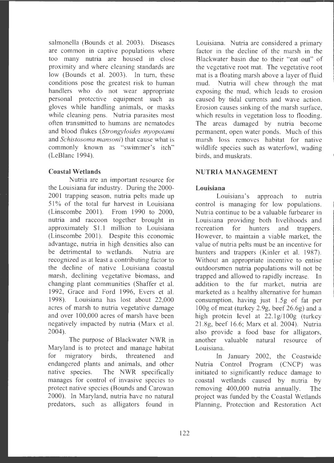salmonella (Bounds et al. 2003). Diseases are common in captive populations where too many nutria are housed in close proximity and where cleaning standards are low (Bounds et al. 2003). In turn, these conditions pose the greatest risk to human handlers who do not wear appropriate personal protective equipment such as gloves while handling animals, or masks while cleaning pens. Nutria parasites most often transmitted to humans are nematodes and blood flukes *(Strongyloides myopotami*  and *Schistosoma mansoni)* that cause what is commonly known as "swimmer's itch" (LeBlanc 1994).

### **Coastal Wetlands**

Nutria are an important resource for the Louisiana fur industry. During the 2000- 2001 trapping season, nutria pelts made up 51% of the total fur harvest in Louisiana (Linscombe 2001). From 1990 to 2000, nutria and raccoon together brought in approximately \$1.1 million to Louisiana (Linscombe 2001). Despite this economic advantage, nutria in high densities also can be detrimental to wetlands. Nutria are recognized as at least a contributing factor to the decline of native Louisiana coastal marsh, declining vegetative biomass, and changing plant communities (Shaffer et al. 1992. Grace and Ford 1996. Evers et al. 1998). Louisiana has lost about 22,000 acres of marsh to nutria vegetative damage and over 100,000 acres of marsh have been negatively impacted by nutria (Marx et al. 2004).

The purpose of Blackwater NWR in Maryland is to protect and manage habitat for migratory birds, threatened and endangered plants and animals, and other native species. The NWR specifically manages for control of invasive species to protect native species (Bounds and Carowan 2000). In Maryland, nutria have no natural predators, such as alligators found in

Louisiana. Nutria are considered a primary factor in the decline of the marsh in the Blackwater basin due to their "eat out" of the vegetative root mat. The vegetative root mat is a floating marsh above a layer of fluid mud. Nutria will chew through the mat exposing the mud, which leads to erosion caused by tidal currents and wave action. Erosion causes sinking of the marsh surface , which results in vegetation loss to flooding. The areas damaged by nutria become permanent, open water ponds. Much of this marsh loss removes habitat for native wildlife species such as waterfowl, wading birds, and muskrats.

# **NUTRIA MANAGEMENT**

# **Louisiana**

Louisiana's approach to nutria control is managing for low populations. Nutria continue to be a valuable furbearer in Louisiana providing both livelihoods and recreation for hunters and trappers. However, to maintain a viable market, the value of nutria pelts must be an incentive for hunters and trappers (Kinler et al. 1987). Without an appropriate incentive to entise outdoorsmen nutria populations will not be trapped and allowed to rapidly increase. In addition to the fur market, nutria are marketed as a healthy alternative for human consumption, having just  $1.5g$  of fat per  $100g$  of meat (turkey 2.9g, beef 26.6g) and a high protein level at 22. lg/l00g (turkey 21.8g , beef 16.6; Marx et al. 2004). Nutria also provide a food base for alligators, another valuable natural resource of Louisiana.

In January 2002, the Coastwide Nutria Control Program (CNCP) was initiated to significantly reduce damage to coastal wetlands caused by nutria by removing 400,000 nutria annually. The project was funded by the Coastal Wetlands Planning, Protection and Restoration Act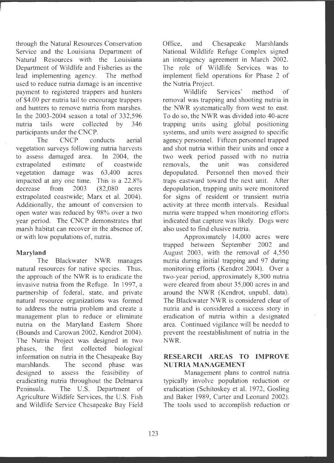through the Natural Resources Conservation Service and the Louisiana Department of Natural Resources with the Louisiana Department of Wildlife and Fisheries as the lead implementing agency. The method used to reduce nutria damage is an incentive payment to registered trappers and hunters of \$4.00 per nutria tail to encourage trappers and hunters to remove nutria from marshes. In the  $2003-2004$  season a total of  $332,596$ nutria tails were collected by 346 participants under the CNCP.

The CNCP conducts aerial vegetation surveys following nutria harvests to assess damaged area. In 2004, the extrapolated estimate of coastwide vegetation damage was 63,400 acres impacted at any one time. This is a  $22.8\%$ decrease from 2003 (82,080 acres extrapolated coastwide; Marx et al. 2004). Additionally, the amount of conversion to open water was reduced by 98% over a two year period. The CNCP demonstrates that marsh habitat can recover in the absence of, or with low populations of, nutria.

### **Maryland**

The Blackwater NWR manages natural resources for native species. Thus, the approach of the NWR is to eradicate the invasive nutria from the Refuge. In 1997, a partnership of federal, state, and private natural resource organizations was formed to address the nutria problem and create a management plan to reduce or eliminate nutria on the Maryland Eastern Shore (Bounds and Carowan 2002, Kendrot 2004). The Nutria Project was designed in two phases, the first collected biological information on nutria in the Chesapeake Bay marshlands. The second phase was designed to assess the feasibility of eradicating nutria throughout the Delmarva Peninsula. The U.S. Department of Agriculture Wildlife Services, the U.S. Fish and Wildlife Service Chesapeake Bay Field

Office, and Chesapeake Marshlands National Wildlife Refuge Complex signed an interagency agreement in March 2002. The role of Wildlife Services was to implement field operations for Phase 2 of the Nutria Project.

Wildlife Services' method of removal was trapping and shooting nutria in the NWR systematically from west to east. To do so, the NWR was divided into 40-acre trapping units using global positioning systems, and units were assigned to specific agency personnel. Fifteen personnel trapped and shot nutria within their units and once a two week period passed with no nutria removals, the unit was considered depopulated. Personnel then moved their traps eastward toward the next unit. After depopulation, trapping units were monitored for signs of resident or transient nutria activity at three month intervals. Residual nutria were trapped when monitoring efforts indicated that capture was likely. Dogs were also used to find elusive nutria.

Approximately 14,000 acres were trapped between September 2002 and August 2003, with the removal of 4,550 nutria during initial trapping and 97 during monitoring efforts (Kendrot 2004). Over a two-year period, approximately 8,300 nutria were cleared from about 35,000 acres in and around the NWR (Kendrot, unpubl. data). The Blackwater NWR is considered clear of nutria and is considered a success story in eradication of nutria within a designated area. Continued vigilance will be needed to prevent the reestablishment of nutria in the **NWR .** 

# **RESEARCH AREAS TO IMPROVE NUTRIA MANAGEMENT**

Management plans to control nutria typically involve population reduction or eradication (Schitoskey et al. 1972, Gosling and Baker 1989, Carter and Leonard 2002). The tools used to accomplish reduction or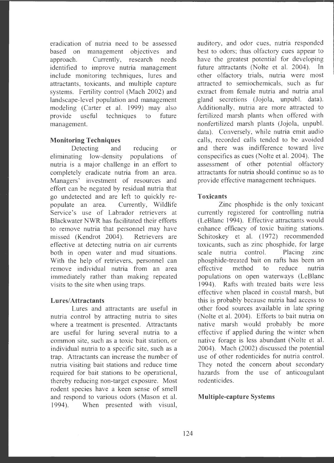eradication of nutria need to be assessed based on management objectives and approach. Currently, research needs identified to improve nutria management include monitoring techniques, lures and attractants, toxicants, and multiple capture systems. Fertility control (Mach 2002) and landscape-level population and management modeling (Carter et al. 1999) may also provide useful techniques to future management.

## **Monitoring Techniques**

Detecting and reducing or eliminating low-density populations of nutria is a major challenge in an effort to completely eradicate nutria from an area. Managers' investment of resources and effort can be negated by residual nutria that go undetected and are left to quickly repopulate an area. Currently, Wildlife Service's use of Labrador retrievers at Blackwater NWR has facilitated their efforts to remove nutria that personnel may have missed (Kendrot 2004). Retrievers are effective at detecting nutria on air currents both in open water and mud situations. With the help of retrievers, personnel can remove individual nutria from an area immediately rather than making repeated visits to the site when using traps.

#### **Lures/ Attractants**

Lures and attractants are useful in nutria control by attracting nutria to sites where a treatment is presented. Attractants are useful for luring several nutria to a common site, such as a toxic bait station, or individual nutria to a specific site, such as a trap . Attractants can increase the number of nutria visiting bait stations and reduce time required for bait stations to be operational, thereby reducing non-target exposure. Most rodent species have a keen sense of smell and respond to various odors (Mason et al. 1994). When presented with visual,

auditory, and odor cues, nutria responded best to odors; thus olfactory cues appear to have the greatest potential for developing future attractants (Nolte et al. 2004). In other olfactory trials, nutria were most attracted to semiochemicals, such as fur extract from female nutria and nutria anal gland secretions (Jojola, unpubl. data). Additionally, nutria are more attracted to fertilized marsh plants when offered with nonfertilized marsh plants (Jojola, unpubl. data). Conversely, while nutria emit audio calls, recorded calls tended to be avoided and there was indifference toward live conspecifics as cues (Nolte et al. 2004). The assessment of other potential olfactory attractants for nutria should continue so as to provide effective management techniques.

#### **Toxicants**

Zinc phosphide is the only toxicant currently registered for controlling nutria (LeBlanc 1994). Effective attractants would enhance efficacy of toxic baiting stations. Schitoskey et al. (1972) recommended toxicants, such as zinc phosphide, for large scale nutria control. Placing zinc phosphide-treated bait on rafts has been an effective method to reduce nutria populations on open waterways (LeBlanc 1994). Rafts with treated baits were less effective when placed in coastal marsh, but this is probably because nutria had access to other food sources available in late spring (Nolte et al. 2004). Efforts to bait nutria on native marsh would probably be more effective if applied during the winter when native forage is less abundant (Nolte et al. 2004). Mach (2002) discussed the potential use of other rodenticides for nutria control. They noted the concern about secondary hazards from the use of anticoagulant rodenticides.

#### **Multiple-capture Systems**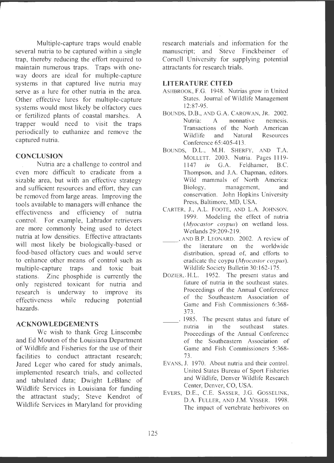Multiple-capture traps would enable several nutria to be captured within a single trap, thereby reducing the effort required to maintain numerous traps. Traps with oneway doors are ideal for multiple-capture systems in that captured live nutria may serve as a lure for other nutria in the area. Other effective lures for multiple-capture systems would most likely be olfactory cues or fertilized plants of coastal marshes. A trapper would need to visit the traps periodically to euthanize and remove the captured nutria.

### **CONCLUSION**

Nutria are a challenge to control and even more difficult to eradicate from a sizable area, but with an effective strategy and sufficient resources and effort, they can be removed from large areas. Improving the tools available to managers will enhance the effectiveness and efficiency of nutria control. For example, Labrador retrievers are more commonly being used to detect nutria at low densities. Effective attractants will most likely be biologically-based or food-based olfactory cues and would serve to enhance other means of control such as multiple-capture traps and toxic bait stations. Zinc phosphide is currently the only registered toxicant for nutria and research is underway to improve its effectiveness while reducing potential hazards.

#### **ACKNOWLEDGEMENTS**

We wish to thank Greg Linscombe and Ed Mouton of the Louisiana Department of Wildlife and Fisheries for the use of their facilities to conduct attractant research; Jared Leger who cared for study animals, implemented research trials, and collected and tabulated data; Dwight LeBlanc of Wildlife Services in Louisiana for funding the attractant study; Steve Kendrot of Wildlife Services in Maryland for providing research materials and information for the manuscript: and Steve Finckbeiner of Cornell University for supplying potential attractants for research trials.

#### **LITERATURE CITED**

- ASHBROOK, F.G. 1948. Nutrias grow in United States. Journal of Wildlife Management 12:87-95.
- BOUNDS, D.8. , AND G.A. CAROWAN, JR. 2002. Nutria: A nonnative nemesis. Transactions of the North American Wildlife and Natural Resources Conference 65:405-413.
- BOUNDS, D.L., M.H. SHERFY, AND T.A. MOLLETT. 2003. Nutria. Pages 1119-1147 *in* G.A. Feldhamer, B.C. Thompson, and J.A. Chapman, editors. Wild mammals of North America: Biology, management, and conservation. John Hopkins University Press, Baltimore, MD, USA.
- CARTER, J., A.L. FOOTE, AND L.A. JOHNSON. 1999. Modeling the effect of nutria *(Myocastor coypus)* on wetland loss. Wetlands 29:209-219.
- AND B.P. LEONARD. 2002. A review of the literature on the worldwide distribution, spread of, and efforts to eradicate the coypu *(Myocastor coypus) .*  Wildlife Society Bulletin 30: 162-175.
- DOZIER, H.L. 1952. The present status and future of nutria in the southeast states. Proceedings of the Annual Conference of the Southeastern Association of Game and Fish Commissioners 6:368- 373.
- 1985. The present status and future of nutria in the southeast states. Proceedings of the Annual Conference of the Southeastern Association of Game and Fish Commissioners 5:368- 73.
- EVANS, J. 1970. About nutria and their control. United States Bureau of Sport Fisheries and Wildlife, Denver Wildlife Research Center, Denver, CO, USA.
- EVERS, D.E., C.E. SASSER, J.G. GOSSELINK, D.A. FULLER, AND J.M. VISSER. 1998. The impact of vertebrate herbivores on